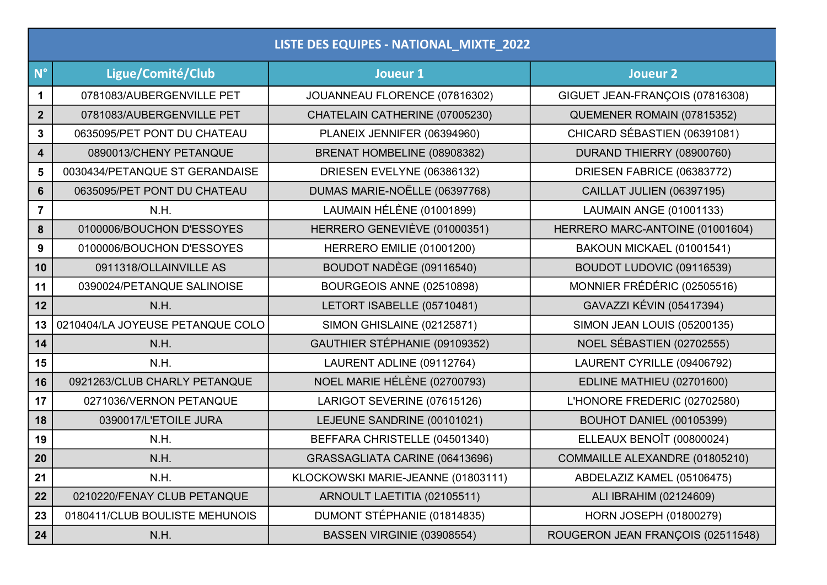| LISTE DES EQUIPES - NATIONAL_MIXTE_2022 |                                  |                                    |                                    |  |  |
|-----------------------------------------|----------------------------------|------------------------------------|------------------------------------|--|--|
| $N^{\circ}$                             | Ligue/Comité/Club                | Joueur 1                           | Joueur 2                           |  |  |
| $\mathbf 1$                             | 0781083/AUBERGENVILLE PET        | JOUANNEAU FLORENCE (07816302)      | GIGUET JEAN-FRANÇOIS (07816308)    |  |  |
| $\overline{2}$                          | 0781083/AUBERGENVILLE PET        | CHATELAIN CATHERINE (07005230)     | QUEMENER ROMAIN (07815352)         |  |  |
| 3                                       | 0635095/PET PONT DU CHATEAU      | PLANEIX JENNIFER (06394960)        | CHICARD SÉBASTIEN (06391081)       |  |  |
| 4                                       | 0890013/CHENY PETANQUE           | BRENAT HOMBELINE (08908382)        | DURAND THIERRY (08900760)          |  |  |
| 5                                       | 0030434/PETANQUE ST GERANDAISE   | DRIESEN EVELYNE (06386132)         | DRIESEN FABRICE (06383772)         |  |  |
| 6                                       | 0635095/PET PONT DU CHATEAU      | DUMAS MARIE-NOËLLE (06397768)      | <b>CAILLAT JULIEN (06397195)</b>   |  |  |
| $\overline{7}$                          | N.H.                             | LAUMAIN HÉLÈNE (01001899)          | LAUMAIN ANGE (01001133)            |  |  |
| 8                                       | 0100006/BOUCHON D'ESSOYES        | HERRERO GENEVIÈVE (01000351)       | HERRERO MARC-ANTOINE (01001604)    |  |  |
| 9                                       | 0100006/BOUCHON D'ESSOYES        | HERRERO EMILIE (01001200)          | BAKOUN MICKAEL (01001541)          |  |  |
| 10                                      | 0911318/OLLAINVILLE AS           | BOUDOT NADÈGE (09116540)           | BOUDOT LUDOVIC (09116539)          |  |  |
| 11                                      | 0390024/PETANQUE SALINOISE       | BOURGEOIS ANNE (02510898)          | MONNIER FRÉDÉRIC (02505516)        |  |  |
| 12                                      | N.H.                             | LETORT ISABELLE (05710481)         | GAVAZZI KÉVIN (05417394)           |  |  |
| 13                                      | 0210404/LA JOYEUSE PETANQUE COLO | <b>SIMON GHISLAINE (02125871)</b>  | <b>SIMON JEAN LOUIS (05200135)</b> |  |  |
| 14                                      | N.H.                             | GAUTHIER STÉPHANIE (09109352)      | NOEL SÉBASTIEN (02702555)          |  |  |
| 15                                      | N.H.                             | LAURENT ADLINE (09112764)          | LAURENT CYRILLE (09406792)         |  |  |
| 16                                      | 0921263/CLUB CHARLY PETANQUE     | NOEL MARIE HÉLÈNE (02700793)       | EDLINE MATHIEU (02701600)          |  |  |
| 17                                      | 0271036/VERNON PETANQUE          | LARIGOT SEVERINE (07615126)        | L'HONORE FREDERIC (02702580)       |  |  |
| 18                                      | 0390017/L'ETOILE JURA            | LEJEUNE SANDRINE (00101021)        | <b>BOUHOT DANIEL (00105399)</b>    |  |  |
| 19                                      | N.H.                             | BEFFARA CHRISTELLE (04501340)      | ELLEAUX BENOÎT (00800024)          |  |  |
| 20                                      | N.H.                             | GRASSAGLIATA CARINE (06413696)     | COMMAILLE ALEXANDRE (01805210)     |  |  |
| 21                                      | N.H.                             | KLOCKOWSKI MARIE-JEANNE (01803111) | ABDELAZIZ KAMEL (05106475)         |  |  |
| 22                                      | 0210220/FENAY CLUB PETANQUE      | ARNOULT LAETITIA (02105511)        | ALI IBRAHIM (02124609)             |  |  |
| 23                                      | 0180411/CLUB BOULISTE MEHUNOIS   | DUMONT STÉPHANIE (01814835)        | <b>HORN JOSEPH (01800279)</b>      |  |  |
| 24                                      | N.H.                             | BASSEN VIRGINIE (03908554)         | ROUGERON JEAN FRANÇOIS (02511548)  |  |  |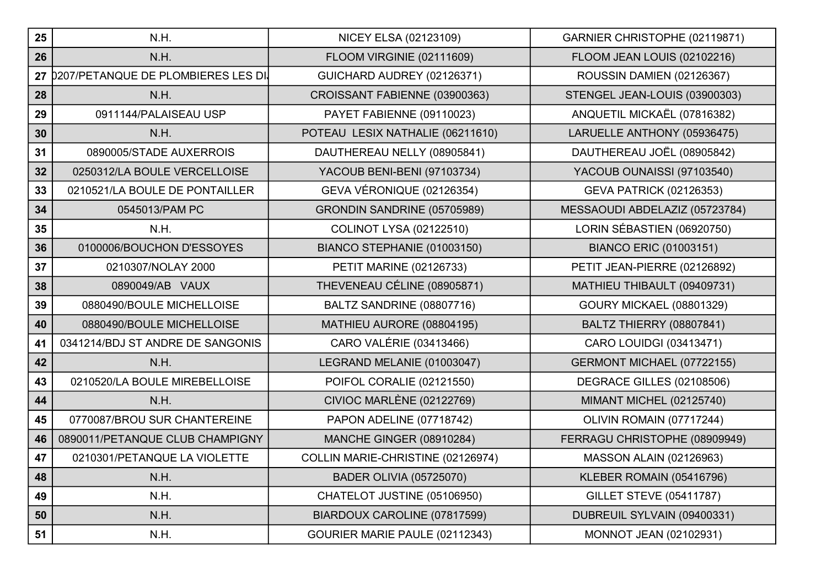| 25 | N.H.                                       | NICEY ELSA (02123109)             | GARNIER CHRISTOPHE (02119871)   |
|----|--------------------------------------------|-----------------------------------|---------------------------------|
| 26 | N.H.                                       | FLOOM VIRGINIE (02111609)         | FLOOM JEAN LOUIS (02102216)     |
| 27 | <b>D207/PETANQUE DE PLOMBIERES LES DI.</b> | GUICHARD AUDREY (02126371)        | ROUSSIN DAMIEN (02126367)       |
| 28 | N.H.                                       | CROISSANT FABIENNE (03900363)     | STENGEL JEAN-LOUIS (03900303)   |
| 29 | 0911144/PALAISEAU USP                      | PAYET FABIENNE (09110023)         | ANQUETIL MICKAËL (07816382)     |
| 30 | N.H.                                       | POTEAU LESIX NATHALIE (06211610)  | LARUELLE ANTHONY (05936475)     |
| 31 | 0890005/STADE AUXERROIS                    | DAUTHEREAU NELLY (08905841)       | DAUTHEREAU JOËL (08905842)      |
| 32 | 0250312/LA BOULE VERCELLOISE               | YACOUB BENI-BENI (97103734)       | YACOUB OUNAISSI (97103540)      |
| 33 | 0210521/LA BOULE DE PONTAILLER             | GEVA VÉRONIQUE (02126354)         | <b>GEVA PATRICK (02126353)</b>  |
| 34 | 0545013/PAM PC                             | GRONDIN SANDRINE (05705989)       | MESSAOUDI ABDELAZIZ (05723784)  |
| 35 | N.H.                                       | <b>COLINOT LYSA (02122510)</b>    | LORIN SÉBASTIEN (06920750)      |
| 36 | 0100006/BOUCHON D'ESSOYES                  | BIANCO STEPHANIE (01003150)       | <b>BIANCO ERIC (01003151)</b>   |
| 37 | 0210307/NOLAY 2000                         | <b>PETIT MARINE (02126733)</b>    | PETIT JEAN-PIERRE (02126892)    |
| 38 | 0890049/AB VAUX                            | THEVENEAU CÉLINE (08905871)       | MATHIEU THIBAULT (09409731)     |
| 39 | 0880490/BOULE MICHELLOISE                  | BALTZ SANDRINE (08807716)         | <b>GOURY MICKAEL (08801329)</b> |
| 40 | 0880490/BOULE MICHELLOISE                  | MATHIEU AURORE (08804195)         | <b>BALTZ THIERRY (08807841)</b> |
| 41 | 0341214/BDJ ST ANDRE DE SANGONIS           | CARO VALÉRIE (03413466)           | CARO LOUIDGI (03413471)         |
| 42 | N.H.                                       | LEGRAND MELANIE (01003047)        | GERMONT MICHAEL (07722155)      |
| 43 | 0210520/LA BOULE MIREBELLOISE              | POIFOL CORALIE (02121550)         | DEGRACE GILLES (02108506)       |
| 44 | N.H.                                       | <b>CIVIOC MARLÈNE (02122769)</b>  | MIMANT MICHEL (02125740)        |
| 45 | 0770087/BROU SUR CHANTEREINE               | PAPON ADELINE (07718742)          | OLIVIN ROMAIN (07717244)        |
| 46 | 0890011/PETANQUE CLUB CHAMPIGNY            | <b>MANCHE GINGER (08910284)</b>   | FERRAGU CHRISTOPHE (08909949)   |
| 47 | 0210301/PETANQUE LA VIOLETTE               | COLLIN MARIE-CHRISTINE (02126974) | <b>MASSON ALAIN (02126963)</b>  |
| 48 | N.H.                                       | <b>BADER OLIVIA (05725070)</b>    | KLEBER ROMAIN (05416796)        |
| 49 | N.H.                                       | CHATELOT JUSTINE (05106950)       | <b>GILLET STEVE (05411787)</b>  |
| 50 | N.H.                                       | BIARDOUX CAROLINE (07817599)      | DUBREUIL SYLVAIN (09400331)     |
| 51 | N.H.                                       | GOURIER MARIE PAULE (02112343)    | MONNOT JEAN (02102931)          |